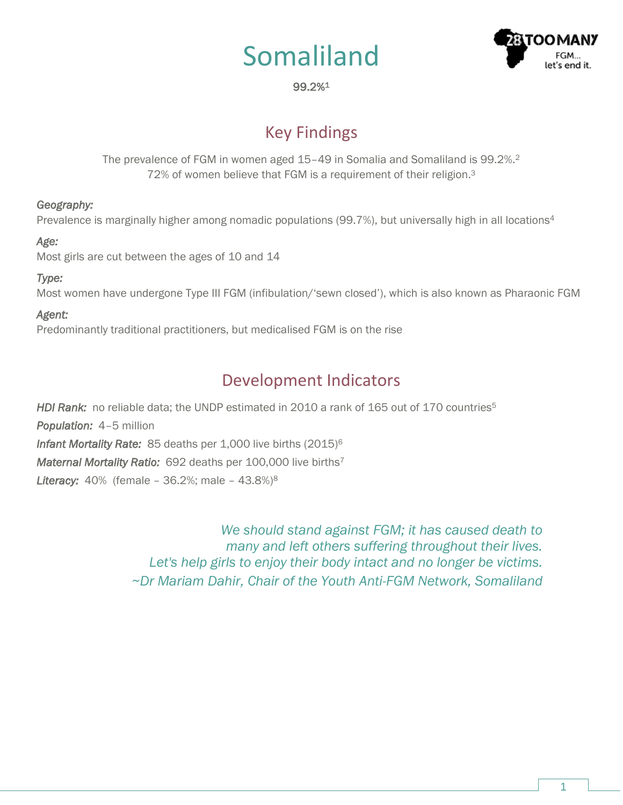# Somaliland



## 99.2%<sup>1</sup>

## Key Findings

The prevalence of FGM in women aged 15–49 in Somalia and Somaliland is 99.2%.<sup>2</sup> 72% of women believe that FGM is a requirement of their religion.<sup>3</sup>

#### *Geography:*

Prevalence is marginally higher among nomadic populations (99.7%), but universally high in all locations<sup>4</sup>

## *Age:*

Most girls are cut between the ages of 10 and 14

## *Type:*

Most women have undergone Type III FGM (infibulation/'sewn closed'), which is also known as Pharaonic FGM

## *Agent:*

Predominantly traditional practitioners, but medicalised FGM is on the rise

# Development Indicators

*HDI Rank:* no reliable data; the UNDP estimated in 2010 a rank of 165 out of 170 countries<sup>5</sup> *Population:* 4–5 million *Infant Mortality Rate:* 85 deaths per 1,000 live births (2015)<sup>6</sup> *Maternal Mortality Ratio:* 692 deaths per 100,000 live births<sup>7</sup> *Literacy:* 40% (female – 36.2%; male – 43.8%)<sup>8</sup>

> *We should stand against FGM; it has caused death to many and left others suffering throughout their lives. Let's help girls to enjoy their body intact and no longer be victims. ~Dr Mariam Dahir, Chair of the Youth Anti-FGM Network, Somaliland*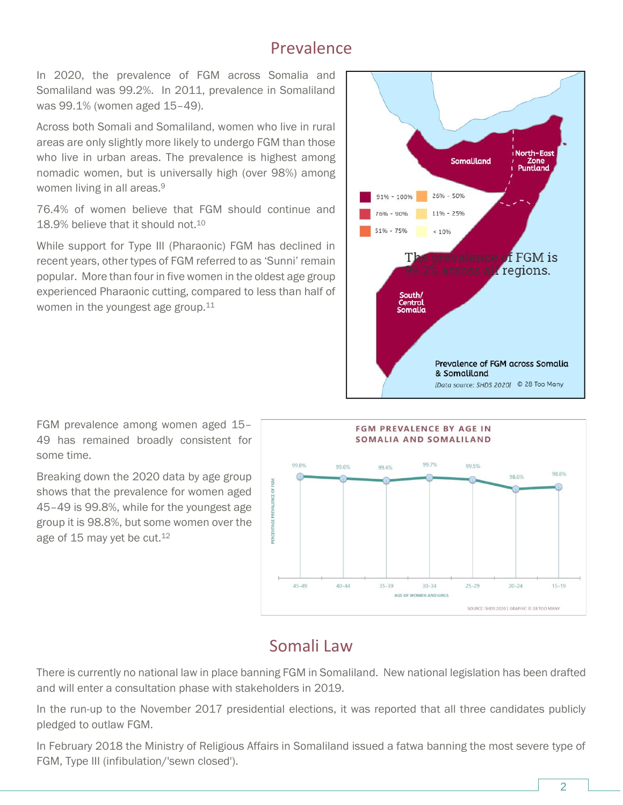## Prevalence

In 2020, the prevalence of FGM across Somalia and Somaliland was 99.2%. In 2011, prevalence in Somaliland was 99.1% (women aged 15–49).

Across both Somali and Somaliland, women who live in rural areas are only slightly more likely to undergo FGM than those who live in urban areas. The prevalence is highest among nomadic women, but is universally high (over 98%) among women living in all areas.<sup>9</sup>

76.4% of women believe that FGM should continue and 18.9% believe that it should not.<sup>10</sup>

While support for Type III (Pharaonic) FGM has declined in recent years, other types of FGM referred to as 'Sunni' remain popular. More than four in five women in the oldest age group experienced Pharaonic cutting, compared to less than half of women in the youngest age group.<sup>11</sup>



FGM prevalence among women aged 15– 49 has remained broadly consistent for some time.

Breaking down the 2020 data by age group shows that the prevalence for women aged 45–49 is 99.8%, while for the youngest age group it is 98.8%, but some women over the age of 15 may yet be cut.<sup>12</sup>



## Somali Law

There is currently no national law in place banning FGM in Somaliland. New national legislation has been drafted and will enter a consultation phase with stakeholders in 2019.

In the run-up to the November 2017 presidential elections, it was reported that all three candidates publicly pledged to outlaw FGM.

In February 2018 the Ministry of Religious Affairs in Somaliland issued a fatwa banning the most severe type of FGM, Type III (infibulation/'sewn closed').